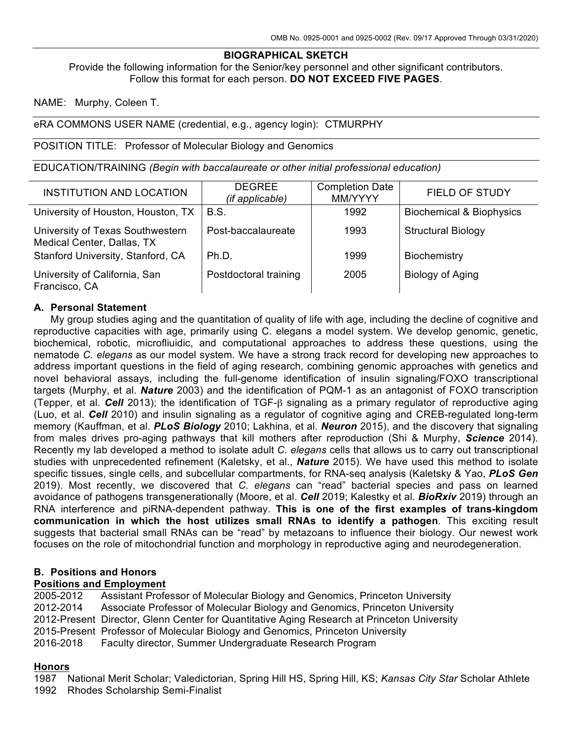#### **BIOGRAPHICAL SKETCH**

Provide the following information for the Senior/key personnel and other significant contributors. Follow this format for each person. **DO NOT EXCEED FIVE PAGES**.

NAME: Murphy, Coleen T.

eRA COMMONS USER NAME (credential, e.g., agency login): CTMURPHY

POSITION TITLE: Professor of Molecular Biology and Genomics

EDUCATION/TRAINING *(Begin with baccalaureate or other initial professional education)*

| <b>INSTITUTION AND LOCATION</b>                                | <b>DEGREE</b><br>(if applicable) | <b>Completion Date</b><br>MM/YYYY | <b>FIELD OF STUDY</b>               |
|----------------------------------------------------------------|----------------------------------|-----------------------------------|-------------------------------------|
| University of Houston, Houston, TX                             | <b>B.S.</b>                      | 1992                              | <b>Biochemical &amp; Biophysics</b> |
| University of Texas Southwestern<br>Medical Center, Dallas, TX | Post-baccalaureate               | 1993                              | <b>Structural Biology</b>           |
| Stanford University, Stanford, CA                              | Ph.D.                            | 1999                              | Biochemistry                        |
| University of California, San<br>Francisco, CA                 | Postdoctoral training            | 2005                              | Biology of Aging                    |

## **A. Personal Statement**

My group studies aging and the quantitation of quality of life with age, including the decline of cognitive and reproductive capacities with age, primarily using C. elegans a model system. We develop genomic, genetic, biochemical, robotic, microfliuidic, and computational approaches to address these questions, using the nematode *C. elegans* as our model system. We have a strong track record for developing new approaches to address important questions in the field of aging research, combining genomic approaches with genetics and novel behavioral assays, including the full-genome identification of insulin signaling/FOXO transcriptional targets (Murphy, et al. *Nature* 2003) and the identification of PQM-1 as an antagonist of FOXO transcription (Tepper, et al. *Cell* 2013); the identification of TGF-β signaling as a primary regulator of reproductive aging (Luo, et al. *Cell* 2010) and insulin signaling as a regulator of cognitive aging and CREB-regulated long-term memory (Kauffman, et al. *PLoS Biology* 2010; Lakhina, et al. *Neuron* 2015), and the discovery that signaling from males drives pro-aging pathways that kill mothers after reproduction (Shi & Murphy, *Science* 2014). Recently my lab developed a method to isolate adult *C. elegans* cells that allows us to carry out transcriptional studies with unprecedented refinement (Kaletsky, et al., *Nature* 2015). We have used this method to isolate specific tissues, single cells, and subcellular compartments, for RNA-seq analysis (Kaletsky & Yao, *PLoS Gen* 2019). Most recently, we discovered that *C. elegans* can "read" bacterial species and pass on learned avoidance of pathogens transgenerationally (Moore, et al. *Cell* 2019; Kalestky et al. *BioRxiv* 2019) through an RNA interference and piRNA-dependent pathway. **This is one of the first examples of trans-kingdom communication in which the host utilizes small RNAs to identify a pathogen**. This exciting result suggests that bacterial small RNAs can be "read" by metazoans to influence their biology. Our newest work focuses on the role of mitochondrial function and morphology in reproductive aging and neurodegeneration.

## **B. Positions and Honors**

# **Positions and Employment**<br>2005-2012 **Assistant Profe**

Assistant Professor of Molecular Biology and Genomics, Princeton University 2012-2014 Associate Professor of Molecular Biology and Genomics, Princeton University 2012-Present Director, Glenn Center for Quantitative Aging Research at Princeton University 2015-Present Professor of Molecular Biology and Genomics, Princeton University 2016-2018 Faculty director, Summer Undergraduate Research Program

#### **Honors**

1987 National Merit Scholar; Valedictorian, Spring Hill HS, Spring Hill, KS; *Kansas City Star* Scholar Athlete

1992 Rhodes Scholarship Semi-Finalist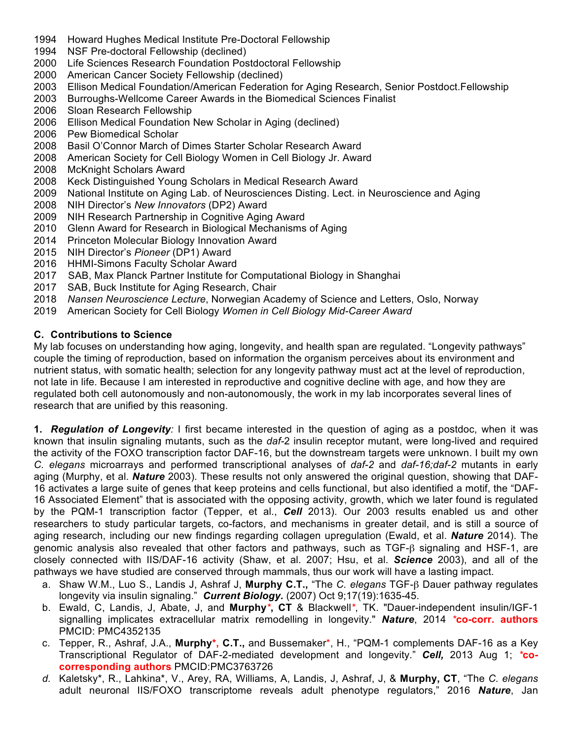- 1994 Howard Hughes Medical Institute Pre-Doctoral Fellowship
- 1994 NSF Pre-doctoral Fellowship (declined)
- 2000 Life Sciences Research Foundation Postdoctoral Fellowship
- 2000 American Cancer Society Fellowship (declined)
- 2003 Ellison Medical Foundation/American Federation for Aging Research, Senior Postdoct.Fellowship
- 2003 Burroughs-Wellcome Career Awards in the Biomedical Sciences Finalist
- 2006 Sloan Research Fellowship
- 2006 Ellison Medical Foundation New Scholar in Aging (declined)
- 2006 Pew Biomedical Scholar
- 2008 Basil O'Connor March of Dimes Starter Scholar Research Award
- 2008 American Society for Cell Biology Women in Cell Biology Jr. Award
- 2008 McKnight Scholars Award
- 2008 Keck Distinguished Young Scholars in Medical Research Award
- 2009 National Institute on Aging Lab. of Neurosciences Disting. Lect. in Neuroscience and Aging
- 2008 NIH Director's *New Innovators* (DP2) Award
- 2009 NIH Research Partnership in Cognitive Aging Award
- 2010 Glenn Award for Research in Biological Mechanisms of Aging
- 2014 Princeton Molecular Biology Innovation Award
- 2015 NIH Director's *Pioneer* (DP1) Award
- 2016 HHMI-Simons Faculty Scholar Award
- 2017 SAB, Max Planck Partner Institute for Computational Biology in Shanghai
- 2017 SAB, Buck Institute for Aging Research, Chair
- 2018 *Nansen Neuroscience Lecture*, Norwegian Academy of Science and Letters, Oslo, Norway
- 2019 American Society for Cell Biology *Women in Cell Biology Mid-Career Award*

# **C. Contributions to Science**

My lab focuses on understanding how aging, longevity, and health span are regulated. "Longevity pathways" couple the timing of reproduction, based on information the organism perceives about its environment and nutrient status, with somatic health; selection for any longevity pathway must act at the level of reproduction, not late in life. Because I am interested in reproductive and cognitive decline with age, and how they are regulated both cell autonomously and non-autonomously, the work in my lab incorporates several lines of research that are unified by this reasoning.

**1.** *Regulation of Longevity:* I first became interested in the question of aging as a postdoc, when it was known that insulin signaling mutants, such as the *daf-*2 insulin receptor mutant, were long-lived and required the activity of the FOXO transcription factor DAF-16, but the downstream targets were unknown. I built my own *C. elegans* microarrays and performed transcriptional analyses of *daf-2* and *daf-16;daf-2* mutants in early aging (Murphy, et al. *Nature* 2003). These results not only answered the original question, showing that DAF-16 activates a large suite of genes that keep proteins and cells functional, but also identified a motif, the "DAF-16 Associated Element" that is associated with the opposing activity, growth, which we later found is regulated by the PQM-1 transcription factor (Tepper, et al., *Cell* 2013). Our 2003 results enabled us and other researchers to study particular targets, co-factors, and mechanisms in greater detail, and is still a source of aging research, including our new findings regarding collagen upregulation (Ewald, et al. *Nature* 2014). The genomic analysis also revealed that other factors and pathways, such as TGF-β signaling and HSF-1, are closely connected with IIS/DAF-16 activity (Shaw, et al. 2007; Hsu, et al. *Science* 2003), and all of the pathways we have studied are conserved through mammals, thus our work will have a lasting impact.

- a. Shaw W.M., Luo S., Landis J, Ashraf J, **Murphy C.T.,** "The *C. elegans* TGF-β Dauer pathway regulates longevity via insulin signaling." *Current Biology.* (2007) Oct 9;17(19):1635-45.
- b. Ewald, C, Landis, J, Abate, J, and **Murphy***\****, CT** & Blackwell*\**, TK. "Dauer-independent insulin/IGF-1 signalling implicates extracellular matrix remodelling in longevity." *Nature*, 2014 *\****co-corr. authors** PMCID: PMC4352135
- c. Tepper, R., Ashraf, J.A., **Murphy\*, C.T.,** and Bussemaker\*, H., "PQM-1 complements DAF-16 as a Key Transcriptional Regulator of DAF-2-mediated development and longevity." *Cell,* 2013 Aug 1; *\****cocorresponding authors** PMCID:PMC3763726
- *d.* Kaletsky\*, R., Lahkina\*, V., Arey, RA, Williams, A, Landis, J, Ashraf, J, & **Murphy, CT**, "The *C. elegans* adult neuronal IIS/FOXO transcriptome reveals adult phenotype regulators," 2016 *Nature*, Jan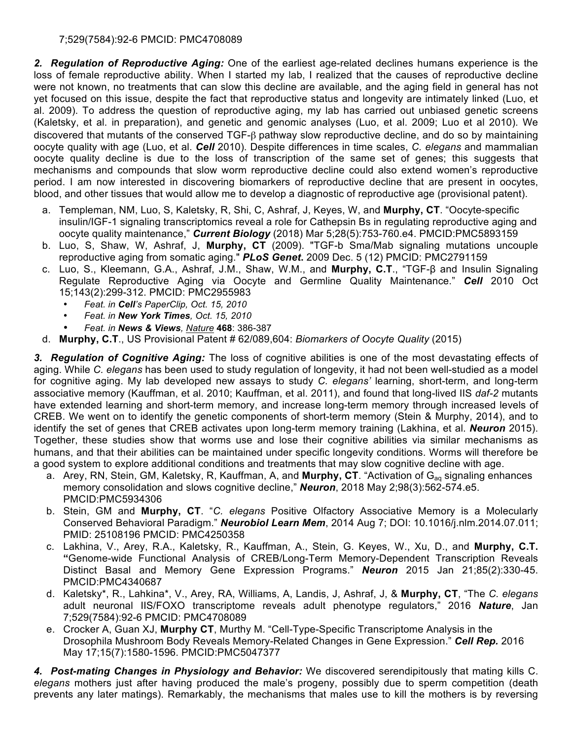# 7;529(7584):92-6 PMCID: PMC4708089

*2. Regulation of Reproductive Aging:* One of the earliest age-related declines humans experience is the loss of female reproductive ability. When I started my lab, I realized that the causes of reproductive decline were not known, no treatments that can slow this decline are available, and the aging field in general has not yet focused on this issue, despite the fact that reproductive status and longevity are intimately linked (Luo, et al. 2009). To address the question of reproductive aging, my lab has carried out unbiased genetic screens (Kaletsky, et al. in preparation), and genetic and genomic analyses (Luo, et al. 2009; Luo et al 2010). We discovered that mutants of the conserved TGF-β pathway slow reproductive decline, and do so by maintaining oocyte quality with age (Luo, et al. *Cell* 2010). Despite differences in time scales, *C. elegans* and mammalian oocyte quality decline is due to the loss of transcription of the same set of genes; this suggests that mechanisms and compounds that slow worm reproductive decline could also extend women's reproductive period. I am now interested in discovering biomarkers of reproductive decline that are present in oocytes, blood, and other tissues that would allow me to develop a diagnostic of reproductive age (provisional patent).

- a. Templeman, NM, Luo, S, Kaletsky, R, Shi, C, Ashraf, J, Keyes, W, and **Murphy, CT**. "Oocyte-specific insulin/IGF-1 signaling transcriptomics reveal a role for Cathepsin Bs in regulating reproductive aging and oocyte quality maintenance," *Current Biology* (2018) Mar 5;28(5):753-760.e4. PMCID:PMC5893159
- b. Luo, S, Shaw, W, Ashraf, J, **Murphy, CT** (2009). "TGF-b Sma/Mab signaling mutations uncouple reproductive aging from somatic aging." *PLoS Genet***.** 2009 Dec. 5 (12) PMCID: PMC2791159
- c. Luo, S., Kleemann, G.A., Ashraf, J.M., Shaw, W.M., and **Murphy, C.T**., "TGF-β and Insulin Signaling Regulate Reproductive Aging via Oocyte and Germline Quality Maintenance." *Cell* 2010 Oct 15;143(2):299-312. PMCID: PMC2955983
	- *Feat. in Cell's PaperClip, Oct. 15, 2010*
	- *Feat. in New York Times, Oct. 15, 2010*
	- *Feat. in News & Views, Nature* **468**: 386-387
- d. **Murphy, C.T**., US Provisional Patent # 62/089,604: *Biomarkers of Oocyte Quality* (2015)

*3. Regulation of Cognitive Aging:* The loss of cognitive abilities is one of the most devastating effects of aging. While *C. elegans* has been used to study regulation of longevity, it had not been well-studied as a model for cognitive aging. My lab developed new assays to study *C. elegans'* learning, short-term, and long-term associative memory (Kauffman, et al. 2010; Kauffman, et al. 2011), and found that long-lived IIS *daf-2* mutants have extended learning and short-term memory, and increase long-term memory through increased levels of CREB. We went on to identify the genetic components of short-term memory (Stein & Murphy, 2014), and to identify the set of genes that CREB activates upon long-term memory training (Lakhina, et al. *Neuron* 2015). Together, these studies show that worms use and lose their cognitive abilities via similar mechanisms as humans, and that their abilities can be maintained under specific longevity conditions. Worms will therefore be a good system to explore additional conditions and treatments that may slow cognitive decline with age.

- a. Arey, RN, Stein, GM, Kaletsky, R, Kauffman, A, and **Murphy, CT**. "Activation of G<sub>aq</sub> signaling enhances memory consolidation and slows cognitive decline," *Neuron*, 2018 May 2;98(3):562-574.e5. PMCID:PMC5934306
- b. Stein, GM and **Murphy, CT**. "*C. elegans* Positive Olfactory Associative Memory is a Molecularly Conserved Behavioral Paradigm." *Neurobiol Learn Mem*, 2014 Aug 7; DOI: 10.1016/j.nlm.2014.07.011; PMID: 25108196 PMCID: PMC4250358
- c. Lakhina, V., Arey, R.A., Kaletsky, R., Kauffman, A., Stein, G. Keyes, W., Xu, D., and **Murphy, C.T. "**Genome-wide Functional Analysis of CREB/Long-Term Memory-Dependent Transcription Reveals Distinct Basal and Memory Gene Expression Programs." *Neuron* 2015 Jan 21;85(2):330-45. PMCID:PMC4340687
- d. Kaletsky\*, R., Lahkina\*, V., Arey, RA, Williams, A, Landis, J, Ashraf, J, & **Murphy, CT**, "The *C. elegans* adult neuronal IIS/FOXO transcriptome reveals adult phenotype regulators," 2016 *Nature*, Jan 7;529(7584):92-6 PMCID: PMC4708089
- e. Crocker A, Guan XJ, **Murphy CT**, Murthy M. "Cell-Type-Specific Transcriptome Analysis in the Drosophila Mushroom Body Reveals Memory-Related Changes in Gene Expression." *Cell Rep.* 2016 May 17;15(7):1580-1596. PMCID:PMC5047377

*4. Post-mating Changes in Physiology and Behavior:* We discovered serendipitously that mating kills C. *elegans* mothers just after having produced the male's progeny, possibly due to sperm competition (death prevents any later matings). Remarkably, the mechanisms that males use to kill the mothers is by reversing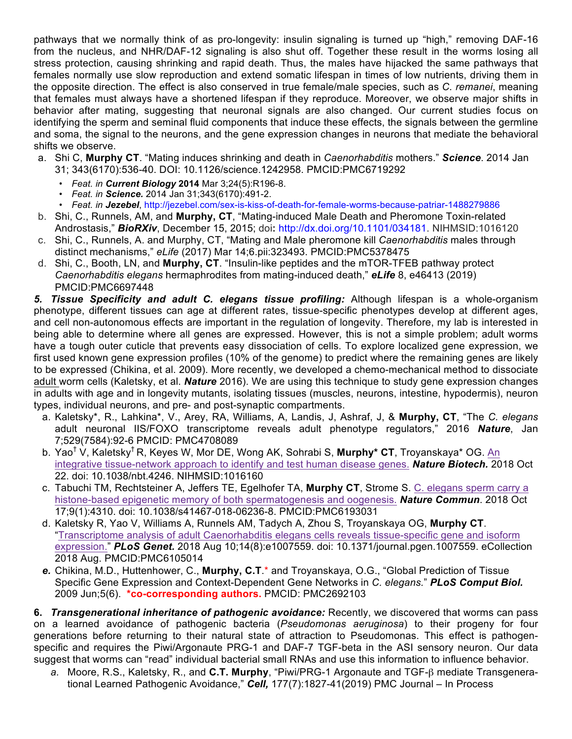pathways that we normally think of as pro-longevity: insulin signaling is turned up "high," removing DAF-16 from the nucleus, and NHR/DAF-12 signaling is also shut off. Together these result in the worms losing all stress protection, causing shrinking and rapid death. Thus, the males have hijacked the same pathways that females normally use slow reproduction and extend somatic lifespan in times of low nutrients, driving them in the opposite direction. The effect is also conserved in true female/male species, such as *C. remanei*, meaning that females must always have a shortened lifespan if they reproduce. Moreover, we observe major shifts in behavior after mating, suggesting that neuronal signals are also changed. Our current studies focus on identifying the sperm and seminal fluid components that induce these effects, the signals between the germline and soma, the signal to the neurons, and the gene expression changes in neurons that mediate the behavioral shifts we observe.

- a. Shi C, **Murphy CT**. "Mating induces shrinking and death in *Caenorhabditis* mothers." *Science*. 2014 Jan 31; 343(6170):536-40. DOI: 10.1126/science.1242958. PMCID:PMC6719292
	- *• Feat. in Current Biology* **2014** Mar 3;24(5):R196-8.
	- *• Feat. in Science.* 2014 Jan 31;343(6170):491-2.
	- *• Feat. in Jezebel*, http://jezebel.com/sex-is-kiss-of-death-for-female-worms-because-patriar-1488279886
- b. Shi, C., Runnels, AM, and **Murphy, CT**, "Mating-induced Male Death and Pheromone Toxin-related Androstasis," *BioRXiv*, December 15, 2015; doi**:** http://dx.doi.org/10.1101/034181. NIHMSID:1016120
- c. Shi, C., Runnels, A. and Murphy, CT, "Mating and Male pheromone kill *Caenorhabditis* males through distinct mechanisms," *eLife* (2017) Mar 14;6.pii:323493. PMCID:PMC5378475
- d. Shi, C., Booth, LN, and **Murphy, CT**. "Insulin-like peptides and the mTOR-TFEB pathway protect *Caenorhabditis elegans* hermaphrodites from mating-induced death," *eLife* 8, e46413 (2019) PMCID:PMC6697448

*5. Tissue Specificity and adult C. elegans tissue profiling:* Although lifespan is a whole-organism phenotype, different tissues can age at different rates, tissue-specific phenotypes develop at different ages, and cell non-autonomous effects are important in the regulation of longevity. Therefore, my lab is interested in being able to determine where all genes are expressed. However, this is not a simple problem; adult worms have a tough outer cuticle that prevents easy dissociation of cells. To explore localized gene expression, we first used known gene expression profiles (10% of the genome) to predict where the remaining genes are likely to be expressed (Chikina, et al. 2009). More recently, we developed a chemo-mechanical method to dissociate adult worm cells (Kaletsky, et al. *Nature* 2016). We are using this technique to study gene expression changes in adults with age and in longevity mutants, isolating tissues (muscles, neurons, intestine, hypodermis), neuron types, individual neurons, and pre- and post-synaptic compartments.

- a. Kaletsky\*, R., Lahkina\*, V., Arey, RA, Williams, A, Landis, J, Ashraf, J, & **Murphy, CT**, "The *C. elegans* adult neuronal IIS/FOXO transcriptome reveals adult phenotype regulators," 2016 *Nature*, Jan 7;529(7584):92-6 PMCID: PMC4708089
- b. Yao† V, Kaletsky† R, Keyes W, Mor DE, Wong AK, Sohrabi S, **Murphy\* CT**, Troyanskaya\* OG. An integrative tissue-network approach to identify and test human disease genes. *Nature Biotech.* 2018 Oct 22. doi: 10.1038/nbt.4246. NIHMSID:1016160
- c. Tabuchi TM, Rechtsteiner A, Jeffers TE, Egelhofer TA, **Murphy CT**, Strome S. C. elegans sperm carry a histone-based epigenetic memory of both spermatogenesis and oogenesis. *Nature Commun*. 2018 Oct 17;9(1):4310. doi: 10.1038/s41467-018-06236-8. PMCID:PMC6193031
- d. Kaletsky R, Yao V, Williams A, Runnels AM, Tadych A, Zhou S, Troyanskaya OG, **Murphy CT**. "Transcriptome analysis of adult Caenorhabditis elegans cells reveals tissue-specific gene and isoform expression." *PLoS Genet.* 2018 Aug 10;14(8):e1007559. doi: 10.1371/journal.pgen.1007559. eCollection 2018 Aug. PMCID:PMC6105014
- *e.* Chikina, M.D., Huttenhower, C., **Murphy, C.T**.\* and Troyanskaya, O.G., "Global Prediction of Tissue Specific Gene Expression and Context-Dependent Gene Networks in *C. elegans.*" *PLoS Comput Biol.* 2009 Jun;5(6). **\*co-corresponding authors.** PMCID: PMC2692103

**6.** *Transgenerational inheritance of pathogenic avoidance:* Recently, we discovered that worms can pass on a learned avoidance of pathogenic bacteria (*Pseudomonas aeruginosa*) to their progeny for four generations before returning to their natural state of attraction to Pseudomonas. This effect is pathogenspecific and requires the Piwi/Argonaute PRG-1 and DAF-7 TGF-beta in the ASI sensory neuron. Our data suggest that worms can "read" individual bacterial small RNAs and use this information to influence behavior.

*a.* Moore, R.S., Kaletsky, R., and **C.T. Murphy**, "Piwi/PRG-1 Argonaute and TGF-β mediate Transgenerational Learned Pathogenic Avoidance," *Cell,* 177(7):1827-41(2019) PMC Journal – In Process